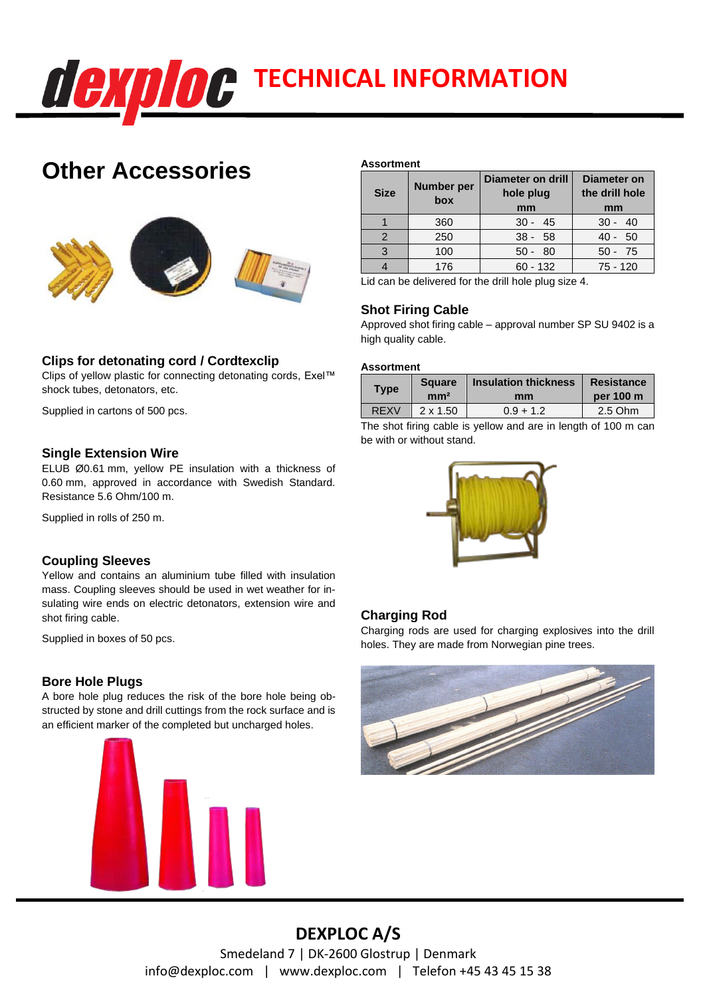

# **Other Accessories**



## **Clips for detonating cord / Cordtexclip**

Clips of yellow plastic for connecting detonating cords, Exel™ shock tubes, detonators, etc.

Supplied in cartons of 500 pcs.

### **Single Extension Wire**

ELUB Ø0.61 mm, yellow PE insulation with a thickness of 0.60 mm, approved in accordance with Swedish Standard. Resistance 5.6 Ohm/100 m.

Supplied in rolls of 250 m.

## **Coupling Sleeves**

Yellow and contains an aluminium tube filled with insulation mass. Coupling sleeves should be used in wet weather for insulating wire ends on electric detonators, extension wire and shot firing cable.

Supplied in boxes of 50 pcs.

## **Bore Hole Plugs**

A bore hole plug reduces the risk of the bore hole being obstructed by stone and drill cuttings from the rock surface and is an efficient marker of the completed but uncharged holes.



#### **Assortment**

| <b>Size</b>   | <b>Number per</b><br>box | Diameter on drill<br>hole plug<br>mm | <b>Diameter on</b><br>the drill hole<br>mm |
|---------------|--------------------------|--------------------------------------|--------------------------------------------|
|               | 360                      | $30 - 45$                            | $30 - 40$                                  |
| $\mathcal{P}$ | 250                      | $38 - 58$                            | $40 - 50$                                  |
| 3             | 100                      | $50 - 80$                            | $50 - 75$                                  |
|               | 176                      | $60 - 132$                           | $75 - 120$                                 |

Lid can be delivered for the drill hole plug size 4.

## **Shot Firing Cable**

Approved shot firing cable – approval number SP SU 9402 is a high quality cable.

#### **Assortment**

| <b>Type</b> | <b>Square</b>   | <b>Insulation thickness</b> | Resistance |
|-------------|-----------------|-----------------------------|------------|
|             | mm <sup>2</sup> | mm                          | per 100 m  |
| <b>REXV</b> | $2 \times 1.50$ | $0.9 + 1.2$                 | 2.5 Ohm    |

The shot firing cable is yellow and are in length of 100 m can be with or without stand.



## **Charging Rod**

Charging rods are used for charging explosives into the drill holes. They are made from Norwegian pine trees.



## **DEXPLOC A/S**

Smedeland 7 | DK-2600 Glostrup | Denmark info@dexploc.com | www.dexploc.com | Telefon +45 43 45 15 38